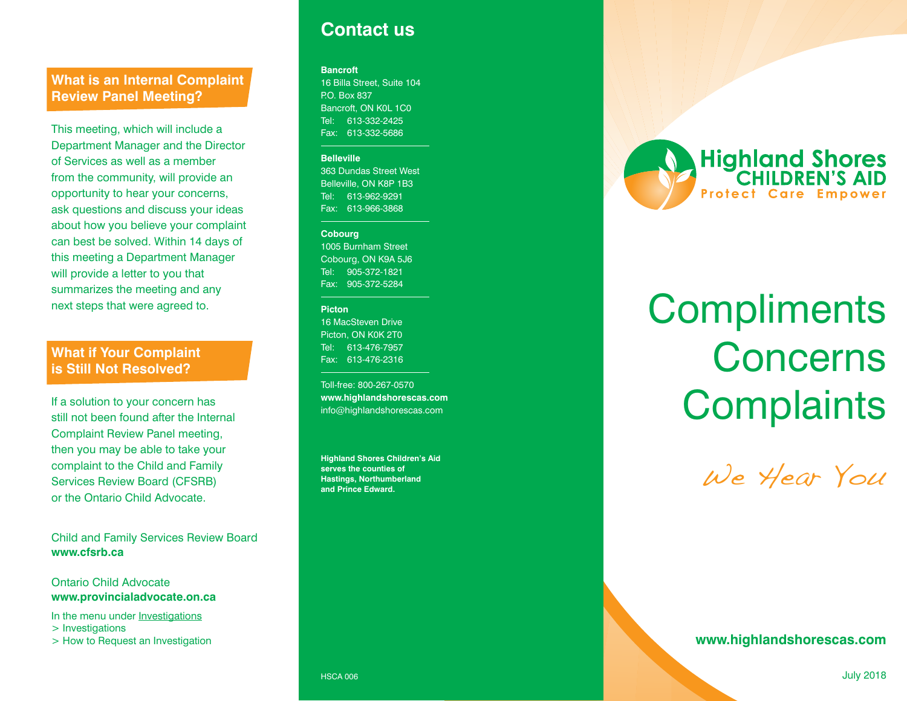## **What is an Internal Complaint Review Panel Meeting?**

This meeting, which will include a Department Manager and the Director of Services as well as a member from the community, will provide an opportunity to hear your concerns, ask questions and discuss your ideas about how you believe your complaint can best be solved. Within 14 days of this meeting a Department Manager will provide a letter to you that summarizes the meeting and any next steps that were agreed to.

## **What if Your Complaint is Still Not Resolved?**

If a solution to your concern has still not been found after the Internal Complaint Review Panel meeting, then you may be able to take your complaint to the Child and Family Services Review Board (CFSRB) or the Ontario Child Advocate.

Child and Family Services Review Board **www.cfsrb.ca**

#### Ontario Child Advocate **www.provincialadvocate.on.ca**

In the menu under **Investigations** 

> Investigations

> How to Request an Investigation

## **Contact us**

#### **Bancroft**

16 Billa Street, Suite 104 P.O. Box 837 Bancroft, ON K0L 1C0 Tel: 613-332-2425 Fax: 613-332-5686

#### **Belleville**

363 Dundas Street West Belleville, ON K8P 1B3 Tel: 613-962-9291 Fax: 613-966-3868

#### **Cobourg**

1005 Burnham Street Cobourg, ON K9A 5J6 Tel: 905-372-1821 Fax: 905-372-5284

#### **Picton**

16 MacSteven Drive Picton, ON K0K 2T0 Tel: 613-476-7957 Fax: 613-476-2316

Toll-free: 800-267-0570 **www.highlandshorescas.com** info@highlandshorescas.com

**Highland Shores Children's Aid serves the counties of Hastings, Northumberland and Prince Edward.**



# **Compliments Concerns Complaints**

We Hear You

**www.highlandshorescas.com**